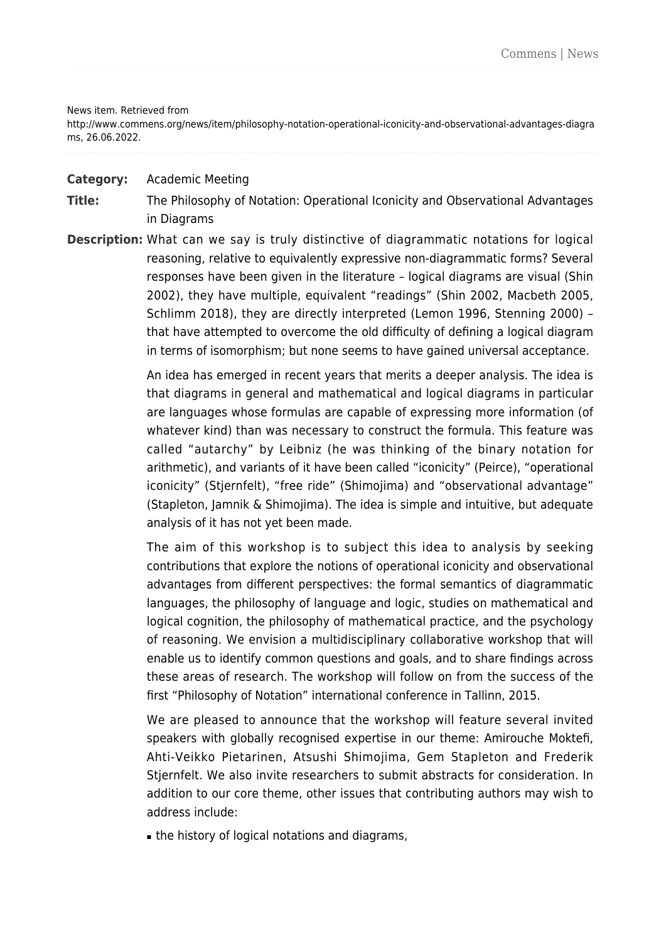## News item. Retrieved from

http://www.commens.org/news/item/philosophy-notation-operational-iconicity-and-observational-advantages-diagra ms, 26.06.2022.

## **Category:** Academic Meeting

- **Title:** The Philosophy of Notation: Operational Iconicity and Observational Advantages in Diagrams
- **Description:** What can we say is truly distinctive of diagrammatic notations for logical reasoning, relative to equivalently expressive non-diagrammatic forms? Several responses have been given in the literature – logical diagrams are visual (Shin 2002), they have multiple, equivalent "readings" (Shin 2002, Macbeth 2005, Schlimm 2018), they are directly interpreted (Lemon 1996, Stenning 2000) – that have attempted to overcome the old difficulty of defining a logical diagram in terms of isomorphism; but none seems to have gained universal acceptance.

An idea has emerged in recent years that merits a deeper analysis. The idea is that diagrams in general and mathematical and logical diagrams in particular are languages whose formulas are capable of expressing more information (of whatever kind) than was necessary to construct the formula. This feature was called "autarchy" by Leibniz (he was thinking of the binary notation for arithmetic), and variants of it have been called "iconicity" (Peirce), "operational iconicity" (Stjernfelt), "free ride" (Shimojima) and "observational advantage" (Stapleton, Jamnik & Shimojima). The idea is simple and intuitive, but adequate analysis of it has not yet been made.

The aim of this workshop is to subject this idea to analysis by seeking contributions that explore the notions of operational iconicity and observational advantages from different perspectives: the formal semantics of diagrammatic languages, the philosophy of language and logic, studies on mathematical and logical cognition, the philosophy of mathematical practice, and the psychology of reasoning. We envision a multidisciplinary collaborative workshop that will enable us to identify common questions and goals, and to share findings across these areas of research. The workshop will follow on from the success of the first "Philosophy of Notation" international conference in Tallinn, 2015.

We are pleased to announce that the workshop will feature several invited speakers with globally recognised expertise in our theme: Amirouche Moktefi, Ahti-Veikko Pietarinen, Atsushi Shimojima, Gem Stapleton and Frederik Stjernfelt. We also invite researchers to submit abstracts for consideration. In addition to our core theme, other issues that contributing authors may wish to address include:

■ the history of logical notations and diagrams,